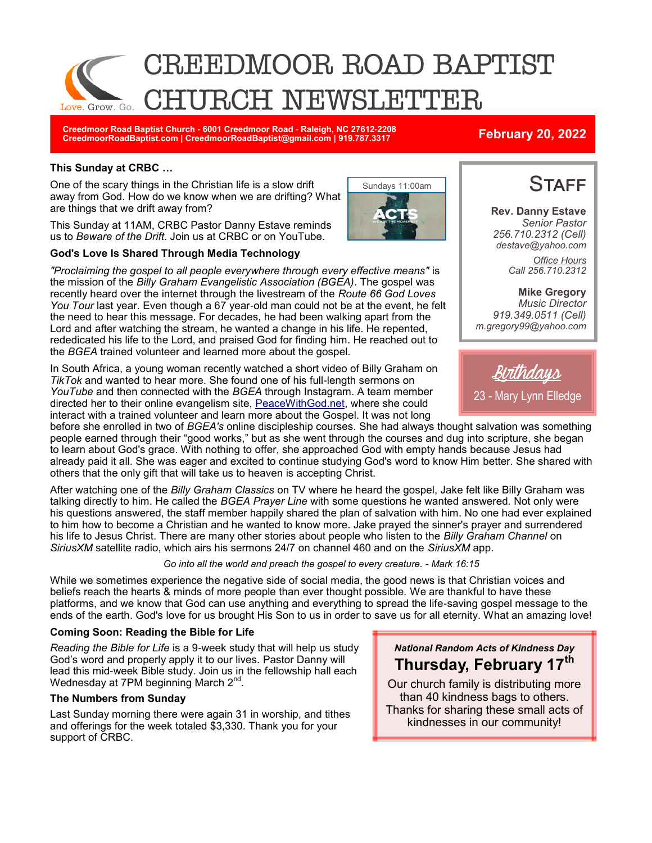

Sundays 11:00am

**Creedmoor Road Baptist Church - 6001 Creedmoor Road - Raleigh, NC 27612-2208 CreedmoorRoadBaptist.com | CreedmoorRoadBaptist@gmail.com | 919.787.3317 February 20, 2022**

### **This Sunday at CRBC …**

One of the scary things in the Christian life is a slow drift away from God. How do we know when we are drifting? What are things that we drift away from?

This Sunday at 11AM, CRBC Pastor Danny Estave reminds us to *Beware of the Drift*. Join us at CRBC or on YouTube.

### **God's Love Is Shared Through Media Technology**

*"Proclaiming the gospel to all people everywhere through every effective means"* is the mission of the *Billy Graham Evangelistic Association (BGEA)*. The gospel was recently heard over the internet through the livestream of the *Route 66 God Loves You Tour* last year. Even though a 67 year-old man could not be at the event, he felt the need to hear this message. For decades, he had been walking apart from the Lord and after watching the stream, he wanted a change in his life. He repented, rededicated his life to the Lord, and praised God for finding him. He reached out to the *BGEA* trained volunteer and learned more about the gospel.

In South Africa, a young woman recently watched a short video of Billy Graham on *TikTok* and wanted to hear more. She found one of his full-length sermons on *YouTube* and then connected with the *BGEA* through Instagram. A team member directed her to their online evangelism site, [PeaceWithGod.net,](https://peacewithgod.net/) where she could interact with a trained volunteer and learn more about the Gospel. It was not long

before she enrolled in two of *BGEA's* online discipleship courses. She had always thought salvation was something people earned through their "good works," but as she went through the courses and dug into scripture, she began to learn about God's grace. With nothing to offer, she approached God with empty hands because Jesus had already paid it all. She was eager and excited to continue studying God's word to know Him better. She shared with others that the only gift that will take us to heaven is accepting Christ.

After watching one of the *Billy Graham Classics* on TV where he heard the gospel, Jake felt like Billy Graham was talking directly to him. He called the *BGEA Prayer Line* with some questions he wanted answered. Not only were his questions answered, the staff member happily shared the plan of salvation with him. No one had ever explained to him how to become a Christian and he wanted to know more. Jake prayed the sinner's prayer and surrendered his life to Jesus Christ. There are many other stories about people who listen to the *Billy Graham Channel* on *SiriusXM* satellite radio, which airs his sermons 24/7 on channel 460 and on the *SiriusXM* app.

### *Go into all the world and preach the gospel to every creature. - Mark 16:15*

While we sometimes experience the negative side of social media, the good news is that Christian voices and beliefs reach the hearts & minds of more people than ever thought possible. We are thankful to have these platforms, and we know that God can use anything and everything to spread the life-saving gospel message to the ends of the earth. God's love for us brought His Son to us in order to save us for all eternity. What an amazing love!

### **Coming Soon: Reading the Bible for Life**

*Reading the Bible for Life* is a 9-week study that will help us study God's word and properly apply it to our lives. Pastor Danny will lead this mid-week Bible study. Join us in the fellowship hall each Wednesday at 7PM beginning March 2<sup>nd</sup>.

### **The Numbers from Sunday**

Last Sunday morning there were again 31 in worship, and tithes and offerings for the week totaled \$3,330. Thank you for your support of CRBC.

**Thursday, February 17th** Our church family is distributing more than 40 kindness bags to others.

*National Random Acts of Kindness Day*

Thanks for sharing these small acts of kindnesses in our community!

**STAFF** 

**Rev. Danny Estave** *Senior Pastor 256.710.2312 (Cell) destave@yahoo.com Office Hours Call 256.710.2312* 

**Mike Gregory** *Music Director 919.349.0511 (Cell) m.gregory99@yahoo.com*